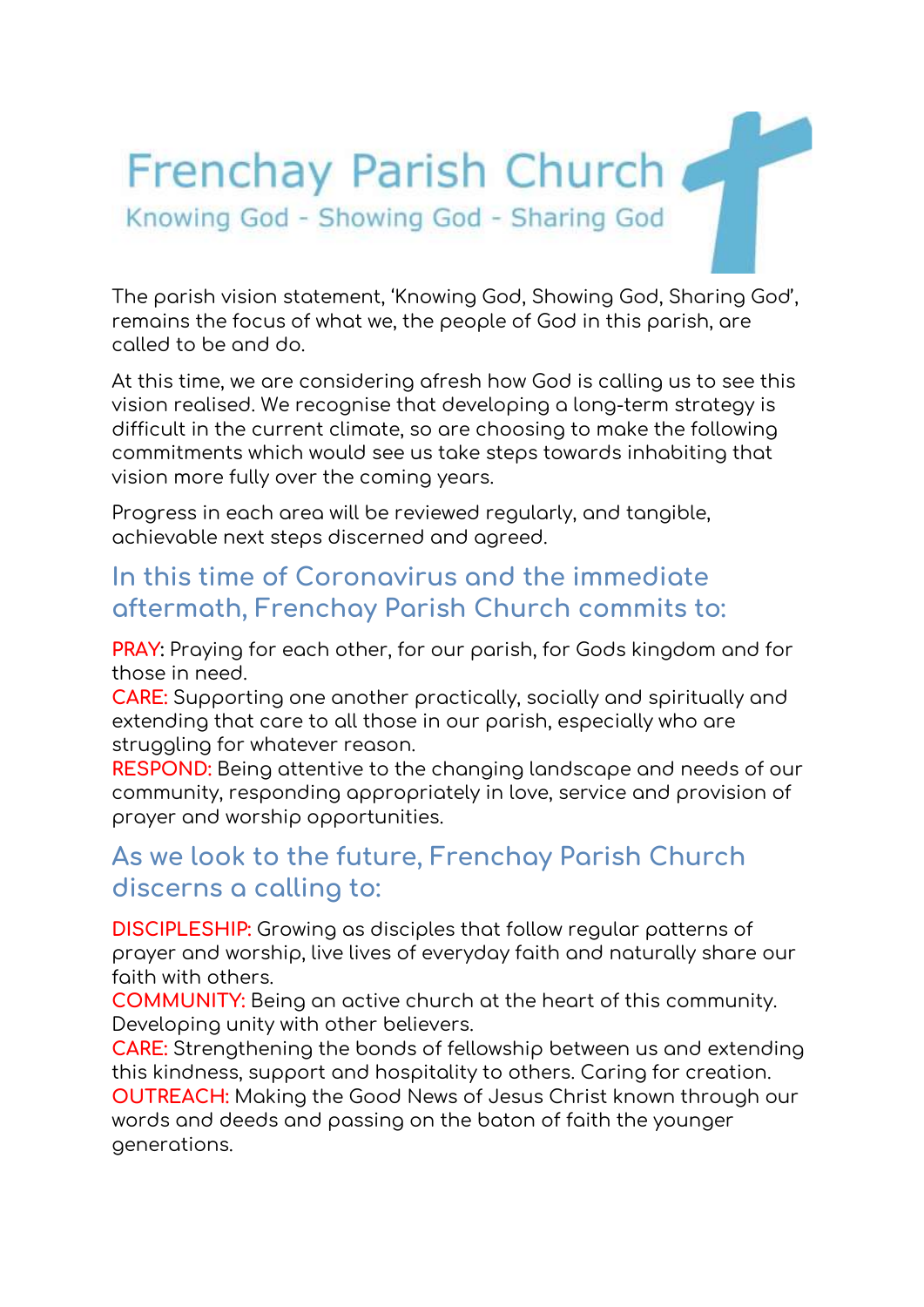# Frenchay Parish Church Knowing God - Showing God - Sharing God

The parish vision statement, 'Knowing God, Showing God, Sharing God', remains the focus of what we, the people of God in this parish, are called to be and do.

At this time, we are considering afresh how God is calling us to see this vision realised. We recognise that developing a long-term strategy is difficult in the current climate, so are choosing to make the following commitments which would see us take steps towards inhabiting that vision more fully over the coming years.

Progress in each area will be reviewed regularly, and tangible, achievable next steps discerned and agreed.

## **In this time of Coronavirus and the immediate aftermath, Frenchay Parish Church commits to:**

**PRAY:** Praying for each other, for our parish, for Gods kingdom and for those in need.

**CARE:** Supporting one another practically, socially and spiritually and extending that care to all those in our parish, especially who are struggling for whatever reason.

**RESPOND:** Being attentive to the changing landscape and needs of our community, responding appropriately in love, service and provision of prayer and worship opportunities.

# **As we look to the future, Frenchay Parish Church discerns a calling to:**

**DISCIPLESHIP:** Growing as disciples that follow regular patterns of prayer and worship, live lives of everyday faith and naturally share our faith with others.

**COMMUNITY:** Being an active church at the heart of this community. Developing unity with other believers.

**CARE:** Strengthening the bonds of fellowship between us and extending this kindness, support and hospitality to others. Caring for creation. **OUTREACH:** Making the Good News of Jesus Christ known through our words and deeds and passing on the baton of faith the younger generations.